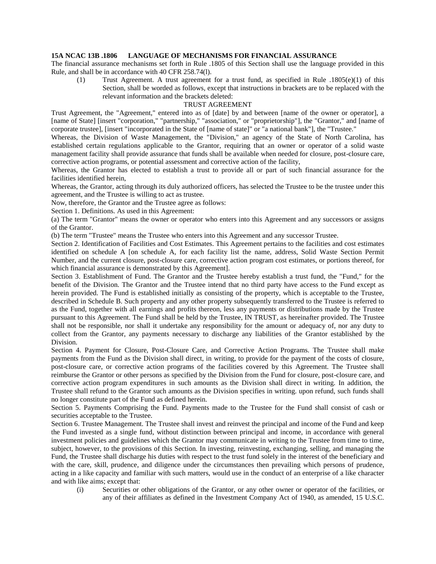## **15A NCAC 13B .1806 LANGUAGE OF MECHANISMS FOR FINANCIAL ASSURANCE**

The financial assurance mechanisms set forth in Rule .1805 of this Section shall use the language provided in this Rule, and shall be in accordance with 40 CFR 258.74(l).

(1) Trust Agreement. A trust agreement for a trust fund, as specified in Rule .1805(e)(1) of this Section, shall be worded as follows, except that instructions in brackets are to be replaced with the relevant information and the brackets deleted:

## TRUST AGREEMENT

Trust Agreement, the "Agreement," entered into as of [date] by and between [name of the owner or operator], a [name of State] [insert "corporation," "partnership," "association," or "proprietorship"], the "Grantor," and [name of corporate trustee], [insert "incorporated in the State of [name of state]" or "a national bank"], the "Trustee."

Whereas, the Division of Waste Management, the "Division," an agency of the State of North Carolina, has established certain regulations applicable to the Grantor, requiring that an owner or operator of a solid waste management facility shall provide assurance that funds shall be available when needed for closure, post-closure care, corrective action programs, or potential assessment and corrective action of the facility,

Whereas, the Grantor has elected to establish a trust to provide all or part of such financial assurance for the facilities identified herein,

Whereas, the Grantor, acting through its duly authorized officers, has selected the Trustee to be the trustee under this agreement, and the Trustee is willing to act as trustee.

Now, therefore, the Grantor and the Trustee agree as follows:

Section 1. Definitions. As used in this Agreement:

(a) The term "Grantor" means the owner or operator who enters into this Agreement and any successors or assigns of the Grantor.

(b) The term "Trustee" means the Trustee who enters into this Agreement and any successor Trustee.

Section 2. Identification of Facilities and Cost Estimates. This Agreement pertains to the facilities and cost estimates identified on schedule A [on schedule A, for each facility list the name, address, Solid Waste Section Permit Number, and the current closure, post-closure care, corrective action program cost estimates, or portions thereof, for which financial assurance is demonstrated by this Agreement].

Section 3. Establishment of Fund. The Grantor and the Trustee hereby establish a trust fund, the "Fund," for the benefit of the Division. The Grantor and the Trustee intend that no third party have access to the Fund except as herein provided. The Fund is established initially as consisting of the property, which is acceptable to the Trustee, described in Schedule B. Such property and any other property subsequently transferred to the Trustee is referred to as the Fund, together with all earnings and profits thereon, less any payments or distributions made by the Trustee pursuant to this Agreement. The Fund shall be held by the Trustee, IN TRUST, as hereinafter provided. The Trustee shall not be responsible, nor shall it undertake any responsibility for the amount or adequacy of, nor any duty to collect from the Grantor, any payments necessary to discharge any liabilities of the Grantor established by the Division.

Section 4. Payment for Closure, Post-Closure Care, and Corrective Action Programs. The Trustee shall make payments from the Fund as the Division shall direct, in writing, to provide for the payment of the costs of closure, post-closure care, or corrective action programs of the facilities covered by this Agreement. The Trustee shall reimburse the Grantor or other persons as specified by the Division from the Fund for closure, post-closure care, and corrective action program expenditures in such amounts as the Division shall direct in writing. In addition, the Trustee shall refund to the Grantor such amounts as the Division specifies in writing. upon refund, such funds shall no longer constitute part of the Fund as defined herein.

Section 5. Payments Comprising the Fund. Payments made to the Trustee for the Fund shall consist of cash or securities acceptable to the Trustee.

Section 6. Trustee Management. The Trustee shall invest and reinvest the principal and income of the Fund and keep the Fund invested as a single fund, without distinction between principal and income, in accordance with general investment policies and guidelines which the Grantor may communicate in writing to the Trustee from time to time, subject, however, to the provisions of this Section. In investing, reinvesting, exchanging, selling, and managing the Fund, the Trustee shall discharge his duties with respect to the trust fund solely in the interest of the beneficiary and with the care, skill, prudence, and diligence under the circumstances then prevailing which persons of prudence, acting in a like capacity and familiar with such matters, would use in the conduct of an enterprise of a like character and with like aims; except that:

(i) Securities or other obligations of the Grantor, or any other owner or operator of the facilities, or any of their affiliates as defined in the Investment Company Act of 1940, as amended, 15 U.S.C.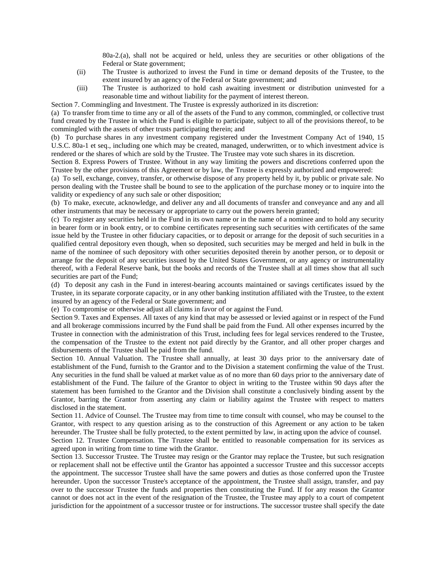80a-2.(a), shall not be acquired or held, unless they are securities or other obligations of the Federal or State government;

- (ii) The Trustee is authorized to invest the Fund in time or demand deposits of the Trustee, to the extent insured by an agency of the Federal or State government; and
- (iii) The Trustee is authorized to hold cash awaiting investment or distribution uninvested for a reasonable time and without liability for the payment of interest thereon.

Section 7. Commingling and Investment. The Trustee is expressly authorized in its discretion:

(a) To transfer from time to time any or all of the assets of the Fund to any common, commingled, or collective trust fund created by the Trustee in which the Fund is eligible to participate, subject to all of the provisions thereof, to be commingled with the assets of other trusts participating therein; and

(b) To purchase shares in any investment company registered under the Investment Company Act of 1940, 15 U.S.C. 80a-1 et seq., including one which may be created, managed, underwritten, or to which investment advice is rendered or the shares of which are sold by the Trustee. The Trustee may vote such shares in its discretion.

Section 8. Express Powers of Trustee. Without in any way limiting the powers and discretions conferred upon the Trustee by the other provisions of this Agreement or by law, the Trustee is expressly authorized and empowered:

(a) To sell, exchange, convey, transfer, or otherwise dispose of any property held by it, by public or private sale. No person dealing with the Trustee shall be bound to see to the application of the purchase money or to inquire into the validity or expediency of any such sale or other disposition;

(b) To make, execute, acknowledge, and deliver any and all documents of transfer and conveyance and any and all other instruments that may be necessary or appropriate to carry out the powers herein granted;

(c) To register any securities held in the Fund in its own name or in the name of a nominee and to hold any security in bearer form or in book entry, or to combine certificates representing such securities with certificates of the same issue held by the Trustee in other fiduciary capacities, or to deposit or arrange for the deposit of such securities in a qualified central depository even though, when so deposited, such securities may be merged and held in bulk in the name of the nominee of such depository with other securities deposited therein by another person, or to deposit or arrange for the deposit of any securities issued by the United States Government, or any agency or instrumentality thereof, with a Federal Reserve bank, but the books and records of the Trustee shall at all times show that all such securities are part of the Fund;

(d) To deposit any cash in the Fund in interest-bearing accounts maintained or savings certificates issued by the Trustee, in its separate corporate capacity, or in any other banking institution affiliated with the Trustee, to the extent insured by an agency of the Federal or State government; and

(e) To compromise or otherwise adjust all claims in favor of or against the Fund.

Section 9. Taxes and Expenses. All taxes of any kind that may be assessed or levied against or in respect of the Fund and all brokerage commissions incurred by the Fund shall be paid from the Fund. All other expenses incurred by the Trustee in connection with the administration of this Trust, including fees for legal services rendered to the Trustee, the compensation of the Trustee to the extent not paid directly by the Grantor, and all other proper charges and disbursements of the Trustee shall be paid from the fund.

Section 10. Annual Valuation. The Trustee shall annually, at least 30 days prior to the anniversary date of establishment of the Fund, furnish to the Grantor and to the Division a statement confirming the value of the Trust. Any securities in the fund shall be valued at market value as of no more than 60 days prior to the anniversary date of establishment of the Fund. The failure of the Grantor to object in writing to the Trustee within 90 days after the statement has been furnished to the Grantor and the Division shall constitute a conclusively binding assent by the Grantor, barring the Grantor from asserting any claim or liability against the Trustee with respect to matters disclosed in the statement.

Section 11. Advice of Counsel. The Trustee may from time to time consult with counsel, who may be counsel to the Grantor, with respect to any question arising as to the construction of this Agreement or any action to be taken hereunder. The Trustee shall be fully protected, to the extent permitted by law, in acting upon the advice of counsel.

Section 12. Trustee Compensation. The Trustee shall be entitled to reasonable compensation for its services as agreed upon in writing from time to time with the Grantor.

Section 13. Successor Trustee. The Trustee may resign or the Grantor may replace the Trustee, but such resignation or replacement shall not be effective until the Grantor has appointed a successor Trustee and this successor accepts the appointment. The successor Trustee shall have the same powers and duties as those conferred upon the Trustee hereunder. Upon the successor Trustee's acceptance of the appointment, the Trustee shall assign, transfer, and pay over to the successor Trustee the funds and properties then constituting the Fund. If for any reason the Grantor cannot or does not act in the event of the resignation of the Trustee, the Trustee may apply to a court of competent jurisdiction for the appointment of a successor trustee or for instructions. The successor trustee shall specify the date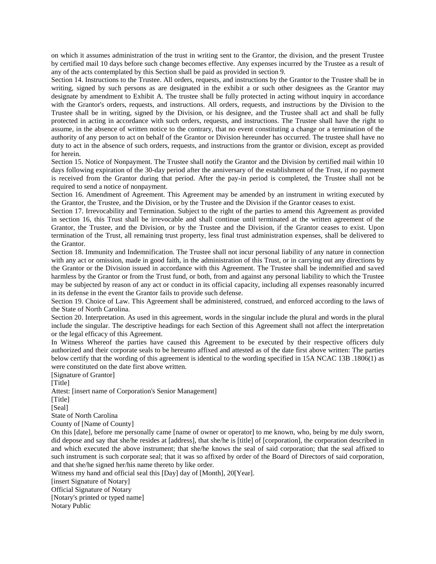on which it assumes administration of the trust in writing sent to the Grantor, the division, and the present Trustee by certified mail 10 days before such change becomes effective. Any expenses incurred by the Trustee as a result of any of the acts contemplated by this Section shall be paid as provided in section 9.

Section 14. Instructions to the Trustee. All orders, requests, and instructions by the Grantor to the Trustee shall be in writing, signed by such persons as are designated in the exhibit a or such other designees as the Grantor may designate by amendment to Exhibit A. The trustee shall be fully protected in acting without inquiry in accordance with the Grantor's orders, requests, and instructions. All orders, requests, and instructions by the Division to the Trustee shall be in writing, signed by the Division, or his designee, and the Trustee shall act and shall be fully protected in acting in accordance with such orders, requests, and instructions. The Trustee shall have the right to assume, in the absence of written notice to the contrary, that no event constituting a change or a termination of the authority of any person to act on behalf of the Grantor or Division hereunder has occurred. The trustee shall have no duty to act in the absence of such orders, requests, and instructions from the grantor or division, except as provided for herein.

Section 15. Notice of Nonpayment. The Trustee shall notify the Grantor and the Division by certified mail within 10 days following expiration of the 30-day period after the anniversary of the establishment of the Trust, if no payment is received from the Grantor during that period. After the pay-in period is completed, the Trustee shall not be required to send a notice of nonpayment.

Section 16. Amendment of Agreement. This Agreement may be amended by an instrument in writing executed by the Grantor, the Trustee, and the Division, or by the Trustee and the Division if the Grantor ceases to exist.

Section 17. Irrevocability and Termination. Subject to the right of the parties to amend this Agreement as provided in section 16, this Trust shall be irrevocable and shall continue until terminated at the written agreement of the Grantor, the Trustee, and the Division, or by the Trustee and the Division, if the Grantor ceases to exist. Upon termination of the Trust, all remaining trust property, less final trust administration expenses, shall be delivered to the Grantor.

Section 18. Immunity and Indemnification. The Trustee shall not incur personal liability of any nature in connection with any act or omission, made in good faith, in the administration of this Trust, or in carrying out any directions by the Grantor or the Division issued in accordance with this Agreement. The Trustee shall be indemnified and saved harmless by the Grantor or from the Trust fund, or both, from and against any personal liability to which the Trustee may be subjected by reason of any act or conduct in its official capacity, including all expenses reasonably incurred in its defense in the event the Grantor fails to provide such defense.

Section 19. Choice of Law. This Agreement shall be administered, construed, and enforced according to the laws of the State of North Carolina.

Section 20. Interpretation. As used in this agreement, words in the singular include the plural and words in the plural include the singular. The descriptive headings for each Section of this Agreement shall not affect the interpretation or the legal efficacy of this Agreement.

In Witness Whereof the parties have caused this Agreement to be executed by their respective officers duly authorized and their corporate seals to be hereunto affixed and attested as of the date first above written: The parties below certify that the wording of this agreement is identical to the wording specified in 15A NCAC 13B .1806(1) as were constituted on the date first above written.

[Signature of Grantor] [Title] Attest: [insert name of Corporation's Senior Management] [Title]

[Seal]

State of North Carolina

County of [Name of County]

On this [date], before me personally came [name of owner or operator] to me known, who, being by me duly sworn, did depose and say that she/he resides at [address], that she/he is [title] of [corporation], the corporation described in and which executed the above instrument; that she/he knows the seal of said corporation; that the seal affixed to such instrument is such corporate seal; that it was so affixed by order of the Board of Directors of said corporation, and that she/he signed her/his name thereto by like order.

Witness my hand and official seal this [Day] day of [Month], 20[Year].

[insert Signature of Notary]

Official Signature of Notary

[Notary's printed or typed name]

Notary Public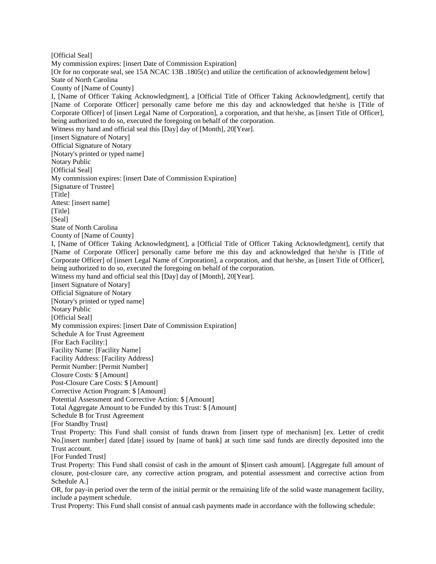[Official Seal] My commission expires: [insert Date of Commission Expiration] [Or for no corporate seal, see 15A NCAC 13B .1805(c) and utilize the certification of acknowledgement below] State of North Carolina County of [Name of County] I, [Name of Officer Taking Acknowledgment], a [Official Title of Officer Taking Acknowledgment], certify that [Name of Corporate Officer] personally came before me this day and acknowledged that he/she is [Title of Corporate Officer] of [insert Legal Name of Corporation], a corporation, and that he/she, as [insert Title of Officer], being authorized to do so, executed the foregoing on behalf of the corporation. Witness my hand and official seal this [Day] day of [Month], 20[Year]. [insert Signature of Notary] Official Signature of Notary [Notary's printed or typed name] Notary Public [Official Seal] My commission expires: [insert Date of Commission Expiration] [Signature of Trustee] [Title] Attest: [insert name] [Title] [Seal] State of North Carolina County of [Name of County] I, [Name of Officer Taking Acknowledgment], a [Official Title of Officer Taking Acknowledgment], certify that [Name of Corporate Officer] personally came before me this day and acknowledged that he/she is [Title of Corporate Officer] of [insert Legal Name of Corporation], a corporation, and that he/she, as [insert Title of Officer], being authorized to do so, executed the foregoing on behalf of the corporation. Witness my hand and official seal this [Day] day of [Month], 20[Year]. [insert Signature of Notary] Official Signature of Notary [Notary's printed or typed name] Notary Public [Official Seal] My commission expires: [insert Date of Commission Expiration] Schedule A for Trust Agreement [For Each Facility:] Facility Name: [Facility Name] Facility Address: [Facility Address] Permit Number: [Permit Number] Closure Costs: \$ [Amount] Post-Closure Care Costs: \$ [Amount] Corrective Action Program: \$ [Amount] Potential Assessment and Corrective Action: \$ [Amount] Total Aggregate Amount to be Funded by this Trust: \$ [Amount] Schedule B for Trust Agreement [For Standby Trust] Trust Property: This Fund shall consist of funds drawn from [insert type of mechanism] [ex. Letter of credit No.[insert number] dated [date] issued by [name of bank] at such time said funds are directly deposited into the Trust account. [For Funded Trust] Trust Property: This Fund shall consist of cash in the amount of \$[insert cash amount]. [Aggregate full amount of closure, post-closure care, any corrective action program, and potential assessment and corrective action from Schedule A.] OR, for pay-in period over the term of the initial permit or the remaining life of the solid waste management facility, include a payment schedule.

Trust Property: This Fund shall consist of annual cash payments made in accordance with the following schedule: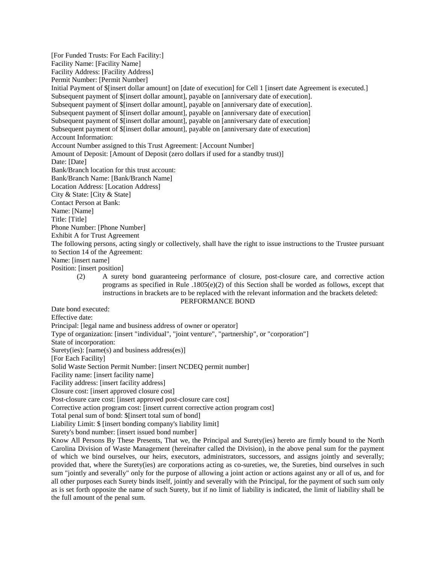[For Funded Trusts: For Each Facility:] Facility Name: [Facility Name] Facility Address: [Facility Address] Permit Number: [Permit Number] Initial Payment of \$[insert dollar amount] on [date of execution] for Cell 1 [insert date Agreement is executed.] Subsequent payment of \$[insert dollar amount], payable on [anniversary date of execution]. Subsequent payment of \$[insert dollar amount], payable on [anniversary date of execution]. Subsequent payment of \$[insert dollar amount], payable on [anniversary date of execution] Subsequent payment of \$[insert dollar amount], payable on [anniversary date of execution] Subsequent payment of \$[insert dollar amount], payable on [anniversary date of execution] Account Information: Account Number assigned to this Trust Agreement: [Account Number] Amount of Deposit: [Amount of Deposit (zero dollars if used for a standby trust)] Date: [Date] Bank/Branch location for this trust account: Bank/Branch Name: [Bank/Branch Name] Location Address: [Location Address] City & State: [City & State] Contact Person at Bank: Name: [Name] Title: [Title] Phone Number: [Phone Number] Exhibit A for Trust Agreement The following persons, acting singly or collectively, shall have the right to issue instructions to the Trustee pursuant to Section 14 of the Agreement: Name: [insert name] Position: [insert position] (2) A surety bond guaranteeing performance of closure, post-closure care, and corrective action programs as specified in Rule  $.1805(e)(2)$  of this Section shall be worded as follows, except that instructions in brackets are to be replaced with the relevant information and the brackets deleted: PERFORMANCE BOND Date bond executed: Effective date: Principal: [legal name and business address of owner or operator] Type of organization: [insert "individual", "joint venture", "partnership", or "corporation"] State of incorporation: Surety(ies): [name(s) and business address(es)] [For Each Facility] Solid Waste Section Permit Number: [insert NCDEQ permit number] Facility name: [insert facility name] Facility address: [insert facility address] Closure cost: [insert approved closure cost] Post-closure care cost: [insert approved post-closure care cost] Corrective action program cost: [insert current corrective action program cost] Total penal sum of bond: \$[insert total sum of bond] Liability Limit: \$ [insert bonding company's liability limit] Surety's bond number: [insert issued bond number] Know All Persons By These Presents, That we, the Principal and Surety(ies) hereto are firmly bound to the North

Carolina Division of Waste Management (hereinafter called the Division), in the above penal sum for the payment of which we bind ourselves, our heirs, executors, administrators, successors, and assigns jointly and severally; provided that, where the Surety(ies) are corporations acting as co-sureties, we, the Sureties, bind ourselves in such sum "jointly and severally" only for the purpose of allowing a joint action or actions against any or all of us, and for all other purposes each Surety binds itself, jointly and severally with the Principal, for the payment of such sum only as is set forth opposite the name of such Surety, but if no limit of liability is indicated, the limit of liability shall be the full amount of the penal sum.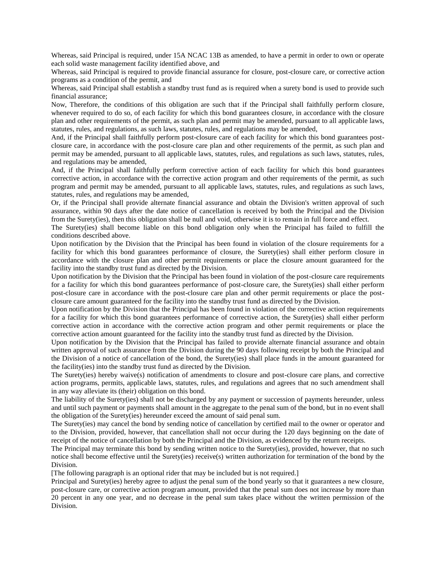Whereas, said Principal is required, under 15A NCAC 13B as amended, to have a permit in order to own or operate each solid waste management facility identified above, and

Whereas, said Principal is required to provide financial assurance for closure, post-closure care, or corrective action programs as a condition of the permit, and

Whereas, said Principal shall establish a standby trust fund as is required when a surety bond is used to provide such financial assurance;

Now, Therefore, the conditions of this obligation are such that if the Principal shall faithfully perform closure, whenever required to do so, of each facility for which this bond guarantees closure, in accordance with the closure plan and other requirements of the permit, as such plan and permit may be amended, pursuant to all applicable laws, statutes, rules, and regulations, as such laws, statutes, rules, and regulations may be amended,

And, if the Principal shall faithfully perform post-closure care of each facility for which this bond guarantees postclosure care, in accordance with the post-closure care plan and other requirements of the permit, as such plan and permit may be amended, pursuant to all applicable laws, statutes, rules, and regulations as such laws, statutes, rules, and regulations may be amended,

And, if the Principal shall faithfully perform corrective action of each facility for which this bond guarantees corrective action, in accordance with the corrective action program and other requirements of the permit, as such program and permit may be amended, pursuant to all applicable laws, statutes, rules, and regulations as such laws, statutes, rules, and regulations may be amended,

Or, if the Principal shall provide alternate financial assurance and obtain the Division's written approval of such assurance, within 90 days after the date notice of cancellation is received by both the Principal and the Division from the Surety(ies), then this obligation shall be null and void, otherwise it is to remain in full force and effect.

The Surety(ies) shall become liable on this bond obligation only when the Principal has failed to fulfill the conditions described above.

Upon notification by the Division that the Principal has been found in violation of the closure requirements for a facility for which this bond guarantees performance of closure, the Surety(ies) shall either perform closure in accordance with the closure plan and other permit requirements or place the closure amount guaranteed for the facility into the standby trust fund as directed by the Division.

Upon notification by the Division that the Principal has been found in violation of the post-closure care requirements for a facility for which this bond guarantees performance of post-closure care, the Surety(ies) shall either perform post-closure care in accordance with the post-closure care plan and other permit requirements or place the postclosure care amount guaranteed for the facility into the standby trust fund as directed by the Division.

Upon notification by the Division that the Principal has been found in violation of the corrective action requirements for a facility for which this bond guarantees performance of corrective action, the Surety(ies) shall either perform corrective action in accordance with the corrective action program and other permit requirements or place the corrective action amount guaranteed for the facility into the standby trust fund as directed by the Division.

Upon notification by the Division that the Principal has failed to provide alternate financial assurance and obtain written approval of such assurance from the Division during the 90 days following receipt by both the Principal and the Division of a notice of cancellation of the bond, the Surety(ies) shall place funds in the amount guaranteed for the facility(ies) into the standby trust fund as directed by the Division.

The Surety(ies) hereby waive(s) notification of amendments to closure and post-closure care plans, and corrective action programs, permits, applicable laws, statutes, rules, and regulations and agrees that no such amendment shall in any way alleviate its (their) obligation on this bond.

The liability of the Surety(ies) shall not be discharged by any payment or succession of payments hereunder, unless and until such payment or payments shall amount in the aggregate to the penal sum of the bond, but in no event shall the obligation of the Surety(ies) hereunder exceed the amount of said penal sum.

The Surety(ies) may cancel the bond by sending notice of cancellation by certified mail to the owner or operator and to the Division, provided, however, that cancellation shall not occur during the 120 days beginning on the date of receipt of the notice of cancellation by both the Principal and the Division, as evidenced by the return receipts.

The Principal may terminate this bond by sending written notice to the Surety(ies), provided, however, that no such notice shall become effective until the Surety(ies) receive(s) written authorization for termination of the bond by the Division.

[The following paragraph is an optional rider that may be included but is not required.]

Principal and Surety(ies) hereby agree to adjust the penal sum of the bond yearly so that it guarantees a new closure, post-closure care, or corrective action program amount, provided that the penal sum does not increase by more than 20 percent in any one year, and no decrease in the penal sum takes place without the written permission of the Division.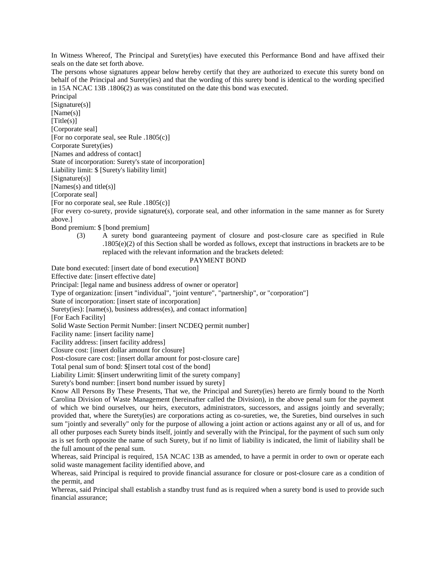In Witness Whereof, The Principal and Surety(ies) have executed this Performance Bond and have affixed their seals on the date set forth above.

The persons whose signatures appear below hereby certify that they are authorized to execute this surety bond on behalf of the Principal and Surety(ies) and that the wording of this surety bond is identical to the wording specified in 15A NCAC 13B .1806(2) as was constituted on the date this bond was executed.

Principal [Signature(s)] [Name(s)]  $[Title(s)]$ [Corporate seal] [For no corporate seal, see Rule .1805(c)] Corporate Surety(ies) [Names and address of contact] State of incorporation: Surety's state of incorporation] Liability limit: \$ [Surety's liability limit] [Signature(s)] [Names(s) and title(s)] [Corporate seal]

[For no corporate seal, see Rule .1805(c)]

[For every co-surety, provide signature(s), corporate seal, and other information in the same manner as for Surety above.]

Bond premium: \$ [bond premium]

(3) A surety bond guaranteeing payment of closure and post-closure care as specified in Rule .1805(e)(2) of this Section shall be worded as follows, except that instructions in brackets are to be replaced with the relevant information and the brackets deleted:

#### PAYMENT BOND

Date bond executed: [insert date of bond execution]

Effective date: [insert effective date]

Principal: [legal name and business address of owner or operator]

Type of organization: [insert "individual", "joint venture", "partnership", or "corporation"]

State of incorporation: [insert state of incorporation]

Surety(ies): [name(s), business address(es), and contact information]

[For Each Facility]

Solid Waste Section Permit Number: [insert NCDEQ permit number]

Facility name: [insert facility name]

Facility address: [insert facility address]

Closure cost: [insert dollar amount for closure]

Post-closure care cost: [insert dollar amount for post-closure care]

Total penal sum of bond: \$[insert total cost of the bond]

Liability Limit: \$[insert underwriting limit of the surety company]

Surety's bond number: [insert bond number issued by surety]

Know All Persons By These Presents, That we, the Principal and Surety(ies) hereto are firmly bound to the North Carolina Division of Waste Management (hereinafter called the Division), in the above penal sum for the payment of which we bind ourselves, our heirs, executors, administrators, successors, and assigns jointly and severally; provided that, where the Surety(ies) are corporations acting as co-sureties, we, the Sureties, bind ourselves in such sum "jointly and severally" only for the purpose of allowing a joint action or actions against any or all of us, and for all other purposes each Surety binds itself, jointly and severally with the Principal, for the payment of such sum only as is set forth opposite the name of such Surety, but if no limit of liability is indicated, the limit of liability shall be the full amount of the penal sum.

Whereas, said Principal is required, 15A NCAC 13B as amended, to have a permit in order to own or operate each solid waste management facility identified above, and

Whereas, said Principal is required to provide financial assurance for closure or post-closure care as a condition of the permit, and

Whereas, said Principal shall establish a standby trust fund as is required when a surety bond is used to provide such financial assurance;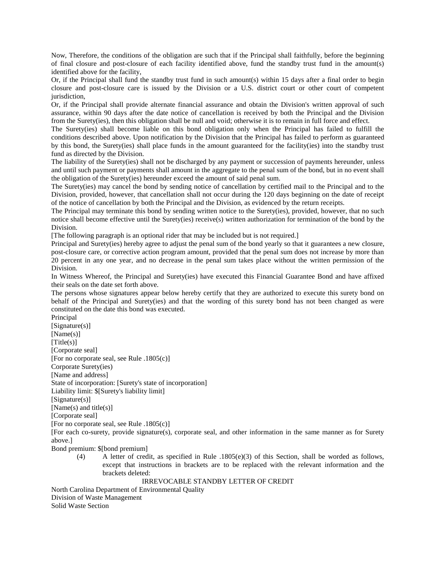Now, Therefore, the conditions of the obligation are such that if the Principal shall faithfully, before the beginning of final closure and post-closure of each facility identified above, fund the standby trust fund in the amount(s) identified above for the facility,

Or, if the Principal shall fund the standby trust fund in such amount(s) within 15 days after a final order to begin closure and post-closure care is issued by the Division or a U.S. district court or other court of competent jurisdiction.

Or, if the Principal shall provide alternate financial assurance and obtain the Division's written approval of such assurance, within 90 days after the date notice of cancellation is received by both the Principal and the Division from the Surety(ies), then this obligation shall be null and void; otherwise it is to remain in full force and effect.

The Surety(ies) shall become liable on this bond obligation only when the Principal has failed to fulfill the conditions described above. Upon notification by the Division that the Principal has failed to perform as guaranteed by this bond, the Surety(ies) shall place funds in the amount guaranteed for the facility(ies) into the standby trust fund as directed by the Division.

The liability of the Surety(ies) shall not be discharged by any payment or succession of payments hereunder, unless and until such payment or payments shall amount in the aggregate to the penal sum of the bond, but in no event shall the obligation of the Surety(ies) hereunder exceed the amount of said penal sum.

The Surety(ies) may cancel the bond by sending notice of cancellation by certified mail to the Principal and to the Division, provided, however, that cancellation shall not occur during the 120 days beginning on the date of receipt of the notice of cancellation by both the Principal and the Division, as evidenced by the return receipts.

The Principal may terminate this bond by sending written notice to the Surety(ies), provided, however, that no such notice shall become effective until the Surety(ies) receive(s) written authorization for termination of the bond by the Division.

[The following paragraph is an optional rider that may be included but is not required.]

Principal and Surety(ies) hereby agree to adjust the penal sum of the bond yearly so that it guarantees a new closure, post-closure care, or corrective action program amount, provided that the penal sum does not increase by more than 20 percent in any one year, and no decrease in the penal sum takes place without the written permission of the Division.

In Witness Whereof, the Principal and Surety(ies) have executed this Financial Guarantee Bond and have affixed their seals on the date set forth above.

The persons whose signatures appear below hereby certify that they are authorized to execute this surety bond on behalf of the Principal and Surety(ies) and that the wording of this surety bond has not been changed as were constituted on the date this bond was executed.

Principal [Signature(s)] [Name(s)]  $[Title(s)]$ [Corporate seal] [For no corporate seal, see Rule .1805(c)] Corporate Surety(ies) [Name and address] State of incorporation: [Surety's state of incorporation] Liability limit: \$[Surety's liability limit] [Signature(s)] [Name(s) and title(s)] [Corporate seal] [For no corporate seal, see Rule .1805(c)]

[For each co-surety, provide signature(s), corporate seal, and other information in the same manner as for Surety above.]

Bond premium: \$[bond premium]

(4) A letter of credit, as specified in Rule .1805(e)(3) of this Section, shall be worded as follows, except that instructions in brackets are to be replaced with the relevant information and the brackets deleted:

IRREVOCABLE STANDBY LETTER OF CREDIT

North Carolina Department of Environmental Quality Division of Waste Management Solid Waste Section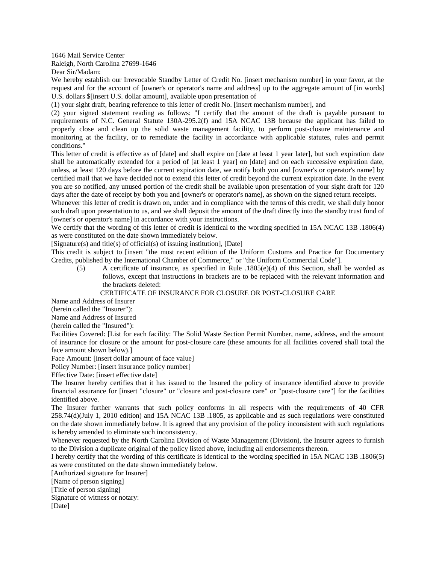1646 Mail Service Center Raleigh, North Carolina 27699-1646

Dear Sir/Madam:

We hereby establish our Irrevocable Standby Letter of Credit No. [insert mechanism number] in your favor, at the request and for the account of [owner's or operator's name and address] up to the aggregate amount of [in words] U.S. dollars \$[insert U.S. dollar amount], available upon presentation of

(1) your sight draft, bearing reference to this letter of credit No. [insert mechanism number], and

(2) your signed statement reading as follows: "I certify that the amount of the draft is payable pursuant to requirements of N.C. General Statute 130A-295.2(f) and 15A NCAC 13B because the applicant has failed to properly close and clean up the solid waste management facility, to perform post-closure maintenance and monitoring at the facility, or to remediate the facility in accordance with applicable statutes, rules and permit conditions."

This letter of credit is effective as of [date] and shall expire on [date at least 1 year later], but such expiration date shall be automatically extended for a period of [at least 1 year] on [date] and on each successive expiration date, unless, at least 120 days before the current expiration date, we notify both you and [owner's or operator's name] by certified mail that we have decided not to extend this letter of credit beyond the current expiration date. In the event you are so notified, any unused portion of the credit shall be available upon presentation of your sight draft for 120 days after the date of receipt by both you and [owner's or operator's name], as shown on the signed return receipts.

Whenever this letter of credit is drawn on, under and in compliance with the terms of this credit, we shall duly honor such draft upon presentation to us, and we shall deposit the amount of the draft directly into the standby trust fund of [owner's or operator's name] in accordance with your instructions.

We certify that the wording of this letter of credit is identical to the wording specified in 15A NCAC 13B .1806(4) as were constituted on the date shown immediately below.

[Signature(s) and title(s) of official(s) of issuing institution], [Date]

This credit is subject to [insert "the most recent edition of the Uniform Customs and Practice for Documentary Credits, published by the International Chamber of Commerce," or "the Uniform Commercial Code"].

(5) A certificate of insurance, as specified in Rule .1805(e)(4) of this Section, shall be worded as follows, except that instructions in brackets are to be replaced with the relevant information and the brackets deleted:

### CERTIFICATE OF INSURANCE FOR CLOSURE OR POST-CLOSURE CARE

Name and Address of Insurer

(herein called the "Insurer"):

Name and Address of Insured

(herein called the "Insured"):

Facilities Covered: [List for each facility: The Solid Waste Section Permit Number, name, address, and the amount of insurance for closure or the amount for post-closure care (these amounts for all facilities covered shall total the face amount shown below).]

Face Amount: [insert dollar amount of face value]

Policy Number: [insert insurance policy number]

Effective Date: [insert effective date]

The Insurer hereby certifies that it has issued to the Insured the policy of insurance identified above to provide financial assurance for [insert "closure" or "closure and post-closure care" or "post-closure care"] for the facilities identified above.

The Insurer further warrants that such policy conforms in all respects with the requirements of 40 CFR 258.74(d)(July 1, 2010 edition) and 15A NCAC 13B .1805, as applicable and as such regulations were constituted on the date shown immediately below. It is agreed that any provision of the policy inconsistent with such regulations is hereby amended to eliminate such inconsistency.

Whenever requested by the North Carolina Division of Waste Management (Division), the Insurer agrees to furnish to the Division a duplicate original of the policy listed above, including all endorsements thereon.

I hereby certify that the wording of this certificate is identical to the wording specified in 15A NCAC 13B .1806(5) as were constituted on the date shown immediately below.

[Authorized signature for Insurer]

[Name of person signing]

[Title of person signing]

Signature of witness or notary:

[Date]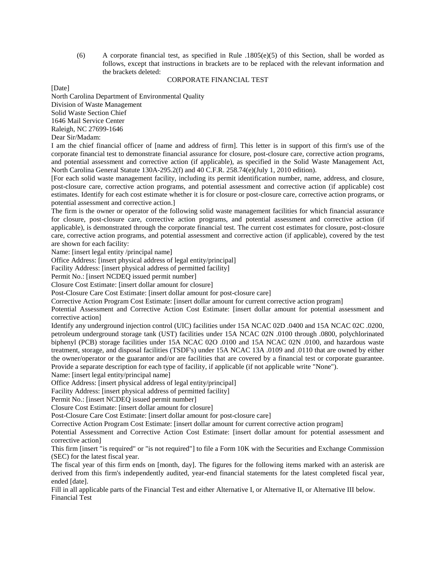(6) A corporate financial test, as specified in Rule .1805(e)(5) of this Section, shall be worded as follows, except that instructions in brackets are to be replaced with the relevant information and the brackets deleted:

## CORPORATE FINANCIAL TEST

[Date]

North Carolina Department of Environmental Quality Division of Waste Management Solid Waste Section Chief 1646 Mail Service Center Raleigh, NC 27699-1646 Dear Sir/Madam:

I am the chief financial officer of [name and address of firm]. This letter is in support of this firm's use of the corporate financial test to demonstrate financial assurance for closure, post-closure care, corrective action programs, and potential assessment and corrective action (if applicable), as specified in the Solid Waste Management Act, North Carolina General Statute 130A-295.2(f) and 40 C.F.R. 258.74(e)(July 1, 2010 edition).

[For each solid waste management facility, including its permit identification number, name, address, and closure, post-closure care, corrective action programs, and potential assessment and corrective action (if applicable) cost estimates. Identify for each cost estimate whether it is for closure or post-closure care, corrective action programs, or potential assessment and corrective action.]

The firm is the owner or operator of the following solid waste management facilities for which financial assurance for closure, post-closure care, corrective action programs, and potential assessment and corrective action (if applicable), is demonstrated through the corporate financial test. The current cost estimates for closure, post-closure care, corrective action programs, and potential assessment and corrective action (if applicable), covered by the test are shown for each facility:

Name: [insert legal entity /principal name]

Office Address: [insert physical address of legal entity/principal]

Facility Address: [insert physical address of permitted facility]

Permit No.: [insert NCDEQ issued permit number]

Closure Cost Estimate: [insert dollar amount for closure]

Post-Closure Care Cost Estimate: [insert dollar amount for post-closure care]

Corrective Action Program Cost Estimate: [insert dollar amount for current corrective action program]

Potential Assessment and Corrective Action Cost Estimate: [insert dollar amount for potential assessment and corrective action]

Identify any underground injection control (UIC) facilities under 15A NCAC 02D .0400 and 15A NCAC 02C .0200, petroleum underground storage tank (UST) facilities under 15A NCAC 02N .0100 through .0800, polychlorinated biphenyl (PCB) storage facilities under 15A NCAC 02O .0100 and 15A NCAC 02N .0100, and hazardous waste treatment, storage, and disposal facilities (TSDF's) under 15A NCAC 13A .0109 and .0110 that are owned by either the owner/operator or the guarantor and/or are facilities that are covered by a financial test or corporate guarantee. Provide a separate description for each type of facility, if applicable (if not applicable write "None").

Name: [insert legal entity/principal name]

Office Address: [insert physical address of legal entity/principal]

Facility Address: [insert physical address of permitted facility]

Permit No.: [insert NCDEQ issued permit number]

Closure Cost Estimate: [insert dollar amount for closure]

Post-Closure Care Cost Estimate: [insert dollar amount for post-closure care]

Corrective Action Program Cost Estimate: [insert dollar amount for current corrective action program]

Potential Assessment and Corrective Action Cost Estimate: [insert dollar amount for potential assessment and corrective action]

This firm [insert "is required" or "is not required"] to file a Form 10K with the Securities and Exchange Commission (SEC) for the latest fiscal year.

The fiscal year of this firm ends on [month, day]. The figures for the following items marked with an asterisk are derived from this firm's independently audited, year-end financial statements for the latest completed fiscal year, ended [date].

Fill in all applicable parts of the Financial Test and either Alternative I, or Alternative II, or Alternative III below. Financial Test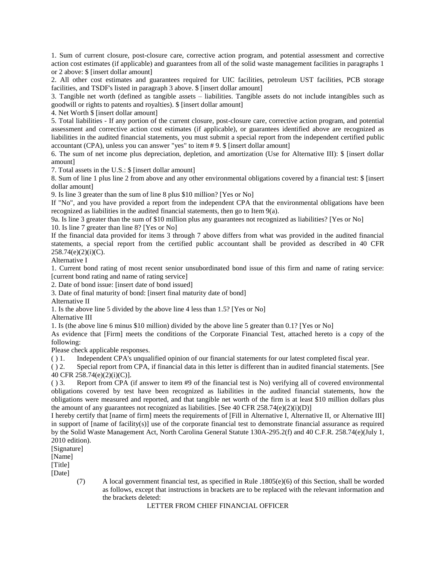1. Sum of current closure, post-closure care, corrective action program, and potential assessment and corrective action cost estimates (if applicable) and guarantees from all of the solid waste management facilities in paragraphs 1 or 2 above: \$ [insert dollar amount]

2. All other cost estimates and guarantees required for UIC facilities, petroleum UST facilities, PCB storage facilities, and TSDF's listed in paragraph 3 above. \$ [insert dollar amount]

3. Tangible net worth (defined as tangible assets – liabilities. Tangible assets do not include intangibles such as goodwill or rights to patents and royalties). \$ [insert dollar amount]

4. Net Worth \$ [insert dollar amount]

5. Total liabilities - If any portion of the current closure, post-closure care, corrective action program, and potential assessment and corrective action cost estimates (if applicable), or guarantees identified above are recognized as liabilities in the audited financial statements, you must submit a special report from the independent certified public accountant (CPA), unless you can answer "yes" to item # 9. \$ [insert dollar amount]

6. The sum of net income plus depreciation, depletion, and amortization (Use for Alternative III): \$ [insert dollar amount]

7. Total assets in the U.S.: \$ [insert dollar amount]

8. Sum of line 1 plus line 2 from above and any other environmental obligations covered by a financial test: \$ [insert dollar amount]

9. Is line 3 greater than the sum of line 8 plus \$10 million? [Yes or No]

If "No", and you have provided a report from the independent CPA that the environmental obligations have been recognized as liabilities in the audited financial statements, then go to Item 9(a).

9a. Is line 3 greater than the sum of \$10 million plus any guarantees not recognized as liabilities? [Yes or No]

10. Is line 7 greater than line 8? [Yes or No]

If the financial data provided for items 3 through 7 above differs from what was provided in the audited financial statements, a special report from the certified public accountant shall be provided as described in 40 CFR  $258.74(e)(2)(i)(C)$ .

Alternative I

1. Current bond rating of most recent senior unsubordinated bond issue of this firm and name of rating service: [current bond rating and name of rating service]

2. Date of bond issue: [insert date of bond issued]

3. Date of final maturity of bond: [insert final maturity date of bond]

Alternative II

1. Is the above line 5 divided by the above line 4 less than 1.5? [Yes or No]

Alternative III

1. Is (the above line 6 minus \$10 million) divided by the above line 5 greater than 0.1? [Yes or No]

As evidence that [Firm] meets the conditions of the Corporate Financial Test, attached hereto is a copy of the following:

Please check applicable responses.

( ) 1. Independent CPA's unqualified opinion of our financial statements for our latest completed fiscal year.

( ) 2. Special report from CPA, if financial data in this letter is different than in audited financial statements. [See 40 CFR 258.74(e)(2)(i)(C)].

( ) 3. Report from CPA (if answer to item #9 of the financial test is No) verifying all of covered environmental obligations covered by test have been recognized as liabilities in the audited financial statements, how the obligations were measured and reported, and that tangible net worth of the firm is at least \$10 million dollars plus the amount of any guarantees not recognized as liabilities. [See 40 CFR  $258.74(e)(2)(i)(D)$ ]

I hereby certify that [name of firm] meets the requirements of [Fill in Alternative I, Alternative II, or Alternative III] in support of [name of facility(s)] use of the corporate financial test to demonstrate financial assurance as required by the Solid Waste Management Act, North Carolina General Statute 130A-295.2(f) and 40 C.F.R. 258.74(e)(July 1, 2010 edition).

[Signature]

[Name]

[Title]

[Date]

(7) A local government financial test, as specified in Rule .1805(e)(6) of this Section, shall be worded as follows, except that instructions in brackets are to be replaced with the relevant information and the brackets deleted:

# LETTER FROM CHIEF FINANCIAL OFFICER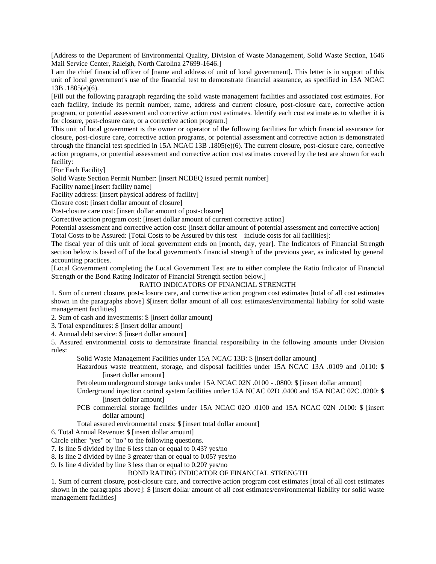[Address to the Department of Environmental Quality, Division of Waste Management, Solid Waste Section, 1646 Mail Service Center, Raleigh, North Carolina 27699-1646.]

I am the chief financial officer of [name and address of unit of local government]. This letter is in support of this unit of local government's use of the financial test to demonstrate financial assurance, as specified in 15A NCAC 13B .1805(e)(6).

[Fill out the following paragraph regarding the solid waste management facilities and associated cost estimates. For each facility, include its permit number, name, address and current closure, post-closure care, corrective action program, or potential assessment and corrective action cost estimates. Identify each cost estimate as to whether it is for closure, post-closure care, or a corrective action program.]

This unit of local government is the owner or operator of the following facilities for which financial assurance for closure, post-closure care, corrective action programs, or potential assessment and corrective action is demonstrated through the financial test specified in 15A NCAC 13B .1805(e)(6). The current closure, post-closure care, corrective action programs, or potential assessment and corrective action cost estimates covered by the test are shown for each facility:

[For Each Facility]

Solid Waste Section Permit Number: [insert NCDEQ issued permit number]

Facility name:[insert facility name]

Facility address: [insert physical address of facility]

Closure cost: [insert dollar amount of closure]

Post-closure care cost: [insert dollar amount of post-closure]

Corrective action program cost: [insert dollar amount of current corrective action]

Potential assessment and corrective action cost: [insert dollar amount of potential assessment and corrective action] Total Costs to be Assured: [Total Costs to be Assured by this test – include costs for all facilities]:

The fiscal year of this unit of local government ends on [month, day, year]. The Indicators of Financial Strength section below is based off of the local government's financial strength of the previous year, as indicated by general accounting practices.

[Local Government completing the Local Government Test are to either complete the Ratio Indicator of Financial Strength or the Bond Rating Indicator of Financial Strength section below.]

# RATIO INDICATORS OF FINANCIAL STRENGTH

1. Sum of current closure, post-closure care, and corrective action program cost estimates [total of all cost estimates shown in the paragraphs above] \$[insert dollar amount of all cost estimates/environmental liability for solid waste management facilities]

2. Sum of cash and investments: \$ [insert dollar amount]

3. Total expenditures: \$ [insert dollar amount]

4. Annual debt service: \$ [insert dollar amount]

5. Assured environmental costs to demonstrate financial responsibility in the following amounts under Division rules:

Solid Waste Management Facilities under 15A NCAC 13B: \$ [insert dollar amount]

Hazardous waste treatment, storage, and disposal facilities under 15A NCAC 13A .0109 and .0110: \$ [insert dollar amount]

Petroleum underground storage tanks under 15A NCAC 02N .0100 - .0800: \$ [insert dollar amount]

Underground injection control system facilities under 15A NCAC 02D .0400 and 15A NCAC 02C .0200: \$ [insert dollar amount]

PCB commercial storage facilities under 15A NCAC 02O .0100 and 15A NCAC 02N .0100: \$ [insert dollar amount]

Total assured environmental costs: \$ [insert total dollar amount]

6. Total Annual Revenue: \$ [insert dollar amount]

Circle either "yes" or "no" to the following questions.

7. Is line 5 divided by line 6 less than or equal to 0.43? yes/no

8. Is line 2 divided by line 3 greater than or equal to 0.05? yes/no

9. Is line 4 divided by line 3 less than or equal to 0.20? yes/no

# BOND RATING INDICATOR OF FINANCIAL STRENGTH

1. Sum of current closure, post-closure care, and corrective action program cost estimates [total of all cost estimates shown in the paragraphs above]: \$ [insert dollar amount of all cost estimates/environmental liability for solid waste management facilities]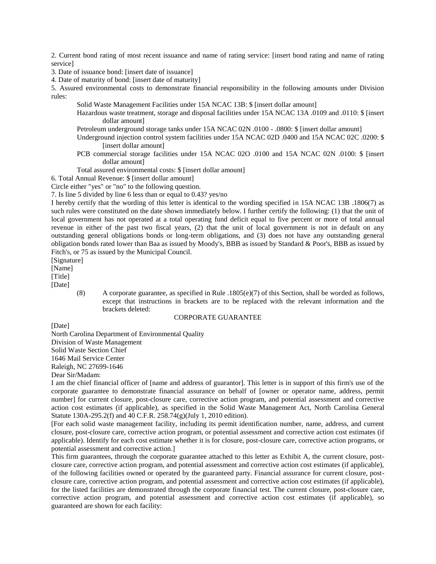2. Current bond rating of most recent issuance and name of rating service: [insert bond rating and name of rating service]

3. Date of issuance bond: [insert date of issuance]

4. Date of maturity of bond: [insert date of maturity]

5. Assured environmental costs to demonstrate financial responsibility in the following amounts under Division rules:

Solid Waste Management Facilities under 15A NCAC 13B: \$ [insert dollar amount]

Hazardous waste treatment, storage and disposal facilities under 15A NCAC 13A .0109 and .0110: \$ [insert dollar amount]

- Petroleum underground storage tanks under 15A NCAC 02N .0100 .0800: \$ [insert dollar amount]
- Underground injection control system facilities under 15A NCAC 02D .0400 and 15A NCAC 02C .0200: \$ [insert dollar amount]
- PCB commercial storage facilities under 15A NCAC 02O .0100 and 15A NCAC 02N .0100: \$ [insert dollar amount]

Total assured environmental costs: \$ [insert dollar amount]

6. Total Annual Revenue: \$ [insert dollar amount]

Circle either "yes" or "no" to the following question.

7. Is line 5 divided by line 6 less than or equal to 0.43? yes/no

I hereby certify that the wording of this letter is identical to the wording specified in 15A NCAC 13B .1806(7) as such rules were constituted on the date shown immediately below. I further certify the following: (1) that the unit of local government has not operated at a total operating fund deficit equal to five percent or more of total annual revenue in either of the past two fiscal years, (2) that the unit of local government is not in default on any outstanding general obligations bonds or long-term obligations, and (3) does not have any outstanding general obligation bonds rated lower than Baa as issued by Moody's, BBB as issued by Standard & Poor's, BBB as issued by Fitch's, or 75 as issued by the Municipal Council.

[Signature]

[Name]

[Title]

[Date]

(8) A corporate guarantee, as specified in Rule .1805(e)(7) of this Section, shall be worded as follows, except that instructions in brackets are to be replaced with the relevant information and the brackets deleted:

#### CORPORATE GUARANTEE

[Date]

North Carolina Department of Environmental Quality Division of Waste Management Solid Waste Section Chief 1646 Mail Service Center Raleigh, NC 27699-1646 Dear Sir/Madam:

I am the chief financial officer of [name and address of guarantor]. This letter is in support of this firm's use of the corporate guarantee to demonstrate financial assurance on behalf of [owner or operator name, address, permit number] for current closure, post-closure care, corrective action program, and potential assessment and corrective action cost estimates (if applicable), as specified in the Solid Waste Management Act, North Carolina General Statute 130A-295.2(f) and 40 C.F.R. 258.74(g)(July 1, 2010 edition).

[For each solid waste management facility, including its permit identification number, name, address, and current closure, post-closure care, corrective action program, or potential assessment and corrective action cost estimates (if applicable). Identify for each cost estimate whether it is for closure, post-closure care, corrective action programs, or potential assessment and corrective action.]

This firm guarantees, through the corporate guarantee attached to this letter as Exhibit A, the current closure, postclosure care, corrective action program, and potential assessment and corrective action cost estimates (if applicable), of the following facilities owned or operated by the guaranteed party. Financial assurance for current closure, postclosure care, corrective action program, and potential assessment and corrective action cost estimates (if applicable), for the listed facilities are demonstrated through the corporate financial test. The current closure, post-closure care, corrective action program, and potential assessment and corrective action cost estimates (if applicable), so guaranteed are shown for each facility: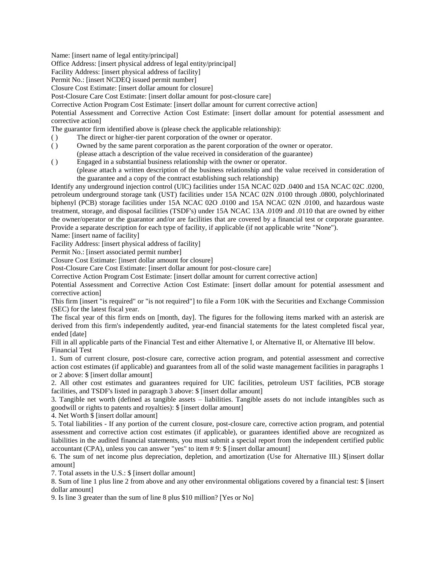Name: [insert name of legal entity/principal]

Office Address: [insert physical address of legal entity/principal]

Facility Address: [insert physical address of facility]

Permit No.: [insert NCDEQ issued permit number]

Closure Cost Estimate: [insert dollar amount for closure]

Post-Closure Care Cost Estimate: [insert dollar amount for post-closure care]

Corrective Action Program Cost Estimate: [insert dollar amount for current corrective action]

Potential Assessment and Corrective Action Cost Estimate: [insert dollar amount for potential assessment and corrective action]

The guarantor firm identified above is (please check the applicable relationship):

- ( ) The direct or higher-tier parent corporation of the owner or operator.
- ( ) Owned by the same parent corporation as the parent corporation of the owner or operator.
- (please attach a description of the value received in consideration of the guarantee)
- ( ) Engaged in a substantial business relationship with the owner or operator. (please attach a written description of the business relationship and the value received in consideration of the guarantee and a copy of the contract establishing such relationship)

Identify any underground injection control (UIC) facilities under 15A NCAC 02D .0400 and 15A NCAC 02C .0200, petroleum underground storage tank (UST) facilities under 15A NCAC 02N .0100 through .0800, polychlorinated biphenyl (PCB) storage facilities under 15A NCAC 02O .0100 and 15A NCAC 02N .0100, and hazardous waste treatment, storage, and disposal facilities (TSDF's) under 15A NCAC 13A .0109 and .0110 that are owned by either the owner/operator or the guarantor and/or are facilities that are covered by a financial test or corporate guarantee. Provide a separate description for each type of facility, if applicable (if not applicable write "None").

Name: [insert name of facility]

Facility Address: [insert physical address of facility]

Permit No.: [insert associated permit number]

Closure Cost Estimate: [insert dollar amount for closure]

Post-Closure Care Cost Estimate: [insert dollar amount for post-closure care]

Corrective Action Program Cost Estimate: [insert dollar amount for current corrective action]

Potential Assessment and Corrective Action Cost Estimate: [insert dollar amount for potential assessment and corrective action]

This firm [insert "is required" or "is not required"] to file a Form 10K with the Securities and Exchange Commission (SEC) for the latest fiscal year.

The fiscal year of this firm ends on [month, day]. The figures for the following items marked with an asterisk are derived from this firm's independently audited, year-end financial statements for the latest completed fiscal year, ended [date]

Fill in all applicable parts of the Financial Test and either Alternative I, or Alternative II, or Alternative III below. Financial Test

1. Sum of current closure, post-closure care, corrective action program, and potential assessment and corrective action cost estimates (if applicable) and guarantees from all of the solid waste management facilities in paragraphs 1 or 2 above: \$ [insert dollar amount]

2. All other cost estimates and guarantees required for UIC facilities, petroleum UST facilities, PCB storage facilities, and TSDF's listed in paragraph 3 above: \$ [insert dollar amount]

3. Tangible net worth (defined as tangible assets – liabilities. Tangible assets do not include intangibles such as goodwill or rights to patents and royalties): \$ [insert dollar amount]

4. Net Worth \$ [insert dollar amount]

5. Total liabilities - If any portion of the current closure, post-closure care, corrective action program, and potential assessment and corrective action cost estimates (if applicable), or guarantees identified above are recognized as liabilities in the audited financial statements, you must submit a special report from the independent certified public accountant (CPA), unless you can answer "yes" to item # 9: \$ [insert dollar amount]

6. The sum of net income plus depreciation, depletion, and amortization (Use for Alternative III.) \$[insert dollar amount]

7. Total assets in the U.S.: \$ [insert dollar amount]

8. Sum of line 1 plus line 2 from above and any other environmental obligations covered by a financial test: \$ [insert dollar amount]

9. Is line 3 greater than the sum of line 8 plus \$10 million? [Yes or No]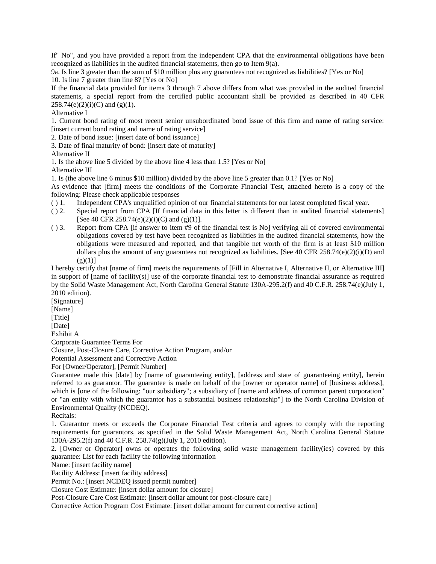If" No", and you have provided a report from the independent CPA that the environmental obligations have been recognized as liabilities in the audited financial statements, then go to Item 9(a).

9a. Is line 3 greater than the sum of \$10 million plus any guarantees not recognized as liabilities? [Yes or No] 10. Is line 7 greater than line 8? [Yes or No]

If the financial data provided for items 3 through 7 above differs from what was provided in the audited financial statements, a special report from the certified public accountant shall be provided as described in 40 CFR  $258.74(e)(2)(i)(C)$  and (g)(1).

Alternative I

1. Current bond rating of most recent senior unsubordinated bond issue of this firm and name of rating service: [insert current bond rating and name of rating service]

2. Date of bond issue: [insert date of bond issuance]

3. Date of final maturity of bond: [insert date of maturity]

Alternative II

1. Is the above line 5 divided by the above line 4 less than 1.5? [Yes or No]

Alternative III

1. Is (the above line 6 minus \$10 million) divided by the above line 5 greater than 0.1? [Yes or No]

As evidence that [firm] meets the conditions of the Corporate Financial Test, attached hereto is a copy of the following: Please check applicable responses

- ( ) 1. Independent CPA's unqualified opinion of our financial statements for our latest completed fiscal year.
- ( ) 2. Special report from CPA [If financial data in this letter is different than in audited financial statements] [See 40 CFR 258.74(e)(2)(i)(C) and (g)(1)].
- ( ) 3. Report from CPA [if answer to item #9 of the financial test is No] verifying all of covered environmental obligations covered by test have been recognized as liabilities in the audited financial statements, how the obligations were measured and reported, and that tangible net worth of the firm is at least \$10 million dollars plus the amount of any guarantees not recognized as liabilities. [See 40 CFR 258.74(e)(2)(i)(D) and  $(g)(1)$ ]

I hereby certify that [name of firm] meets the requirements of [Fill in Alternative I, Alternative II, or Alternative III] in support of [name of facility(s)] use of the corporate financial test to demonstrate financial assurance as required by the Solid Waste Management Act, North Carolina General Statute 130A-295.2(f) and 40 C.F.R. 258.74(e)(July 1, 2010 edition).

[Signature]

[Name]

[Title]

[Date]

Exhibit A

Corporate Guarantee Terms For

Closure, Post-Closure Care, Corrective Action Program, and/or

Potential Assessment and Corrective Action

For [Owner/Operator], [Permit Number]

Guarantee made this [date] by [name of guaranteeing entity], [address and state of guaranteeing entity], herein referred to as guarantor. The guarantee is made on behalf of the [owner or operator name] of [business address], which is [one of the following: "our subsidiary"; a subsidiary of [name and address of common parent corporation" or "an entity with which the guarantor has a substantial business relationship"] to the North Carolina Division of Environmental Quality (NCDEQ).

Recitals:

1. Guarantor meets or exceeds the Corporate Financial Test criteria and agrees to comply with the reporting requirements for guarantors, as specified in the Solid Waste Management Act, North Carolina General Statute 130A-295.2(f) and 40 C.F.R. 258.74(g)(July 1, 2010 edition).

2. [Owner or Operator] owns or operates the following solid waste management facility(ies) covered by this guarantee: List for each facility the following information

Name: [insert facility name]

Facility Address: [insert facility address]

Permit No.: [insert NCDEQ issued permit number]

Closure Cost Estimate: [insert dollar amount for closure]

Post-Closure Care Cost Estimate: [insert dollar amount for post-closure care]

Corrective Action Program Cost Estimate: [insert dollar amount for current corrective action]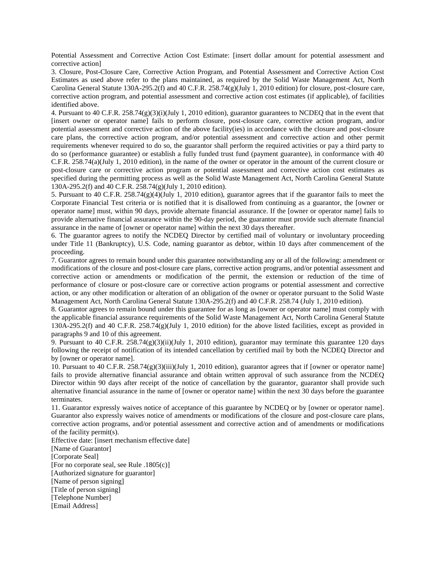Potential Assessment and Corrective Action Cost Estimate: [insert dollar amount for potential assessment and corrective action]

3. Closure, Post-Closure Care, Corrective Action Program, and Potential Assessment and Corrective Action Cost Estimates as used above refer to the plans maintained, as required by the Solid Waste Management Act, North Carolina General Statute 130A-295.2(f) and 40 C.F.R. 258.74(g)(July 1, 2010 edition) for closure, post-closure care, corrective action program, and potential assessment and corrective action cost estimates (if applicable), of facilities identified above.

4. Pursuant to 40 C.F.R. 258.74(g)(3)(i)(July 1, 2010 edition), guarantor guarantees to NCDEQ that in the event that [insert owner or operator name] fails to perform closure, post-closure care, corrective action program, and/or potential assessment and corrective action of the above facility(ies) in accordance with the closure and post-closure care plans, the corrective action program, and/or potential assessment and corrective action and other permit requirements whenever required to do so, the guarantor shall perform the required activities or pay a third party to do so (performance guarantee) or establish a fully funded trust fund (payment guarantee), in conformance with 40 C.F.R. 258.74(a)(July 1, 2010 edition), in the name of the owner or operator in the amount of the current closure or post-closure care or corrective action program or potential assessment and corrective action cost estimates as specified during the permitting process as well as the Solid Waste Management Act, North Carolina General Statute 130A-295.2(f) and 40 C.F.R. 258.74(g)(July 1, 2010 edition).

5. Pursuant to 40 C.F.R. 258.74(g)(4)(July 1, 2010 edition), guarantor agrees that if the guarantor fails to meet the Corporate Financial Test criteria or is notified that it is disallowed from continuing as a guarantor, the [owner or operator name] must, within 90 days, provide alternate financial assurance. If the [owner or operator name] fails to provide alternative financial assurance within the 90-day period, the guarantor must provide such alternate financial assurance in the name of [owner or operator name] within the next 30 days thereafter.

6. The guarantor agrees to notify the NCDEQ Director by certified mail of voluntary or involuntary proceeding under Title 11 (Bankruptcy), U.S. Code, naming guarantor as debtor, within 10 days after commencement of the proceeding.

7. Guarantor agrees to remain bound under this guarantee notwithstanding any or all of the following: amendment or modifications of the closure and post-closure care plans, corrective action programs, and/or potential assessment and corrective action or amendments or modification of the permit, the extension or reduction of the time of performance of closure or post-closure care or corrective action programs or potential assessment and corrective action, or any other modification or alteration of an obligation of the owner or operator pursuant to the Solid Waste Management Act, North Carolina General Statute 130A-295.2(f) and 40 C.F.R. 258.74 (July 1, 2010 edition).

8. Guarantor agrees to remain bound under this guarantee for as long as [owner or operator name] must comply with the applicable financial assurance requirements of the Solid Waste Management Act, North Carolina General Statute 130A-295.2(f) and 40 C.F.R. 258.74(g)(July 1, 2010 edition) for the above listed facilities, except as provided in paragraphs 9 and 10 of this agreement.

9. Pursuant to 40 C.F.R. 258.74(g)(3)(ii)(July 1, 2010 edition), guarantor may terminate this guarantee 120 days following the receipt of notification of its intended cancellation by certified mail by both the NCDEQ Director and by [owner or operator name].

10. Pursuant to 40 C.F.R. 258.74(g)(3)(iii)(July 1, 2010 edition), guarantor agrees that if [owner or operator name] fails to provide alternative financial assurance and obtain written approval of such assurance from the NCDEQ Director within 90 days after receipt of the notice of cancellation by the guarantor, guarantor shall provide such alternative financial assurance in the name of [owner or operator name] within the next 30 days before the guarantee terminates.

11. Guarantor expressly waives notice of acceptance of this guarantee by NCDEQ or by [owner or operator name]. Guarantor also expressly waives notice of amendments or modifications of the closure and post-closure care plans, corrective action programs, and/or potential assessment and corrective action and of amendments or modifications of the facility permit(s).

Effective date: [insert mechanism effective date] [Name of Guarantor] [Corporate Seal] [For no corporate seal, see Rule .1805(c)] [Authorized signature for guarantor] [Name of person signing] [Title of person signing] [Telephone Number] [Email Address]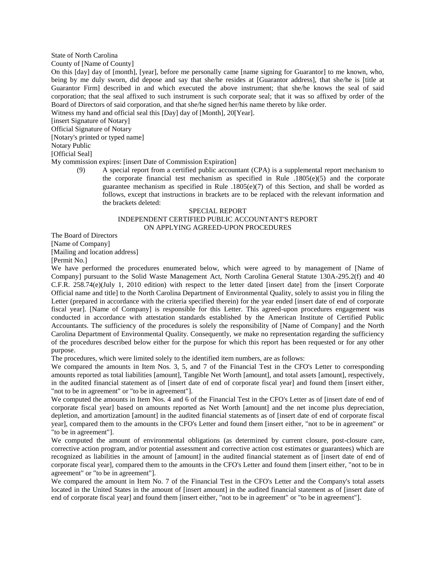## State of North Carolina

County of [Name of County]

On this [day] day of [month], [year], before me personally came [name signing for Guarantor] to me known, who, being by me duly sworn, did depose and say that she/he resides at [Guarantor address], that she/he is [title at Guarantor Firm] described in and which executed the above instrument; that she/he knows the seal of said corporation; that the seal affixed to such instrument is such corporate seal; that it was so affixed by order of the Board of Directors of said corporation, and that she/he signed her/his name thereto by like order.

Witness my hand and official seal this [Day] day of [Month], 20[Year].

[insert Signature of Notary]

Official Signature of Notary

[Notary's printed or typed name]

Notary Public

[Official Seal]

My commission expires: [insert Date of Commission Expiration]

(9) A special report from a certified public accountant (CPA) is a supplemental report mechanism to the corporate financial test mechanism as specified in Rule  $.1805(e)(5)$  and the corporate guarantee mechanism as specified in Rule  $.1805(e)(7)$  of this Section, and shall be worded as follows, except that instructions in brackets are to be replaced with the relevant information and the brackets deleted:

#### SPECIAL REPORT

# INDEPENDENT CERTIFIED PUBLIC ACCOUNTANT'S REPORT ON APPLYING AGREED-UPON PROCEDURES

The Board of Directors

[Name of Company] [Mailing and location address]

[Permit No.]

We have performed the procedures enumerated below, which were agreed to by management of [Name of Company] pursuant to the Solid Waste Management Act, North Carolina General Statute 130A-295.2(f) and 40 C.F.R. 258.74(e)(July 1, 2010 edition) with respect to the letter dated [insert date] from the [insert Corporate Official name and title] to the North Carolina Department of Environmental Quality, solely to assist you in filing the Letter (prepared in accordance with the criteria specified therein) for the year ended [insert date of end of corporate fiscal year]. [Name of Company] is responsible for this Letter. This agreed-upon procedures engagement was conducted in accordance with attestation standards established by the American Institute of Certified Public Accountants. The sufficiency of the procedures is solely the responsibility of [Name of Company] and the North Carolina Department of Environmental Quality. Consequently, we make no representation regarding the sufficiency of the procedures described below either for the purpose for which this report has been requested or for any other purpose.

The procedures, which were limited solely to the identified item numbers, are as follows:

We compared the amounts in Item Nos. 3, 5, and 7 of the Financial Test in the CFO's Letter to corresponding amounts reported as total liabilities [amount], Tangible Net Worth [amount], and total assets [amount], respectively, in the audited financial statement as of [insert date of end of corporate fiscal year] and found them [insert either, "not to be in agreement" or "to be in agreement"].

We computed the amounts in Item Nos. 4 and 6 of the Financial Test in the CFO's Letter as of [insert date of end of corporate fiscal year] based on amounts reported as Net Worth [amount] and the net income plus depreciation, depletion, and amortization [amount] in the audited financial statements as of [insert date of end of corporate fiscal year], compared them to the amounts in the CFO's Letter and found them [insert either, "not to be in agreement" or "to be in agreement"].

We computed the amount of environmental obligations (as determined by current closure, post-closure care, corrective action program, and/or potential assessment and corrective action cost estimates or guarantees) which are recognized as liabilities in the amount of [amount] in the audited financial statement as of [insert date of end of corporate fiscal year], compared them to the amounts in the CFO's Letter and found them [insert either, "not to be in agreement" or "to be in agreement"].

We compared the amount in Item No. 7 of the Financial Test in the CFO's Letter and the Company's total assets located in the United States in the amount of [insert amount] in the audited financial statement as of [insert date of end of corporate fiscal year] and found them [insert either, "not to be in agreement" or "to be in agreement"].